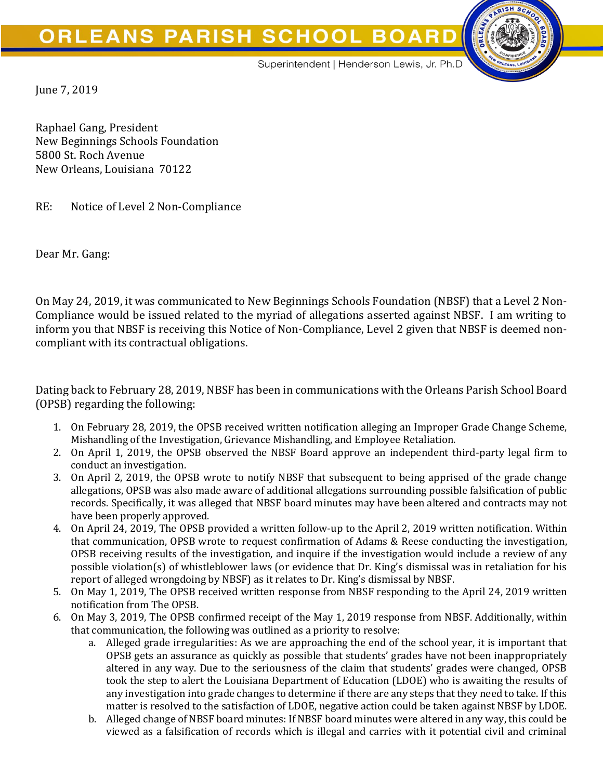## **ORLEANS PARISH SCHOOL BOARD**



Superintendent | Henderson Lewis, Jr. Ph.D

June 7, 2019

Raphael Gang, President New Beginnings Schools Foundation 5800 St. Roch Avenue New Orleans, Louisiana 70122

RE: Notice of Level 2 Non-Compliance

Dear Mr. Gang:

On May 24, 2019, it was communicated to New Beginnings Schools Foundation (NBSF) that a Level 2 Non-Compliance would be issued related to the myriad of allegations asserted against NBSF. I am writing to inform you that NBSF is receiving this Notice of Non-Compliance, Level 2 given that NBSF is deemed noncompliant with its contractual obligations.

Dating back to February 28, 2019, NBSF has been in communications with the Orleans Parish School Board (OPSB) regarding the following:

- 1. On February 28, 2019, the OPSB received written notification alleging an Improper Grade Change Scheme, Mishandling of the Investigation, Grievance Mishandling, and Employee Retaliation.
- 2. On April 1, 2019, the OPSB observed the NBSF Board approve an independent third-party legal firm to conduct an investigation.
- 3. On April 2, 2019, the OPSB wrote to notify NBSF that subsequent to being apprised of the grade change allegations, OPSB was also made aware of additional allegations surrounding possible falsification of public records. Specifically, it was alleged that NBSF board minutes may have been altered and contracts may not have been properly approved.
- 4. On April 24, 2019, The OPSB provided a written follow-up to the April 2, 2019 written notification. Within that communication, OPSB wrote to request confirmation of Adams & Reese conducting the investigation, OPSB receiving results of the investigation, and inquire if the investigation would include a review of any possible violation(s) of whistleblower laws (or evidence that Dr. King's dismissal was in retaliation for his report of alleged wrongdoing by NBSF) as it relates to Dr. King's dismissal by NBSF.
- 5. On May 1, 2019, The OPSB received written response from NBSF responding to the April 24, 2019 written notification from The OPSB.
- 6. On May 3, 2019, The OPSB confirmed receipt of the May 1, 2019 response from NBSF. Additionally, within that communication, the following was outlined as a priority to resolve:
	- a. Alleged grade irregularities: As we are approaching the end of the school year, it is important that OPSB gets an assurance as quickly as possible that students' grades have not been inappropriately altered in any way. Due to the seriousness of the claim that students' grades were changed, OPSB took the step to alert the Louisiana Department of Education (LDOE) who is awaiting the results of any investigation into grade changes to determine if there are any steps that they need to take. If this matter is resolved to the satisfaction of LDOE, negative action could be taken against NBSF by LDOE.
	- b. Alleged change of NBSF board minutes: If NBSF board minutes were altered in any way, this could be viewed as a falsification of records which is illegal and carries with it potential civil and criminal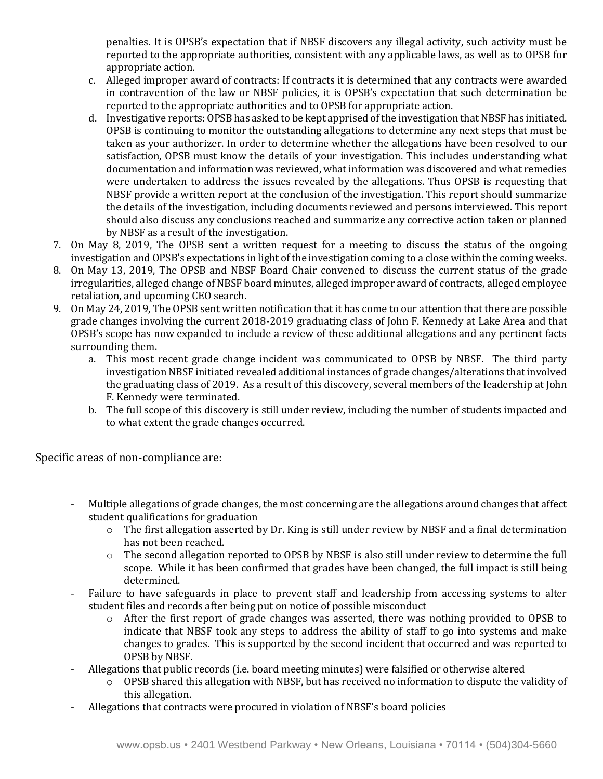penalties. It is OPSB's expectation that if NBSF discovers any illegal activity, such activity must be reported to the appropriate authorities, consistent with any applicable laws, as well as to OPSB for appropriate action.

- c. Alleged improper award of contracts: If contracts it is determined that any contracts were awarded in contravention of the law or NBSF policies, it is OPSB's expectation that such determination be reported to the appropriate authorities and to OPSB for appropriate action.
- d. Investigative reports: OPSB has asked to be kept apprised of the investigation that NBSF has initiated. OPSB is continuing to monitor the outstanding allegations to determine any next steps that must be taken as your authorizer. In order to determine whether the allegations have been resolved to our satisfaction, OPSB must know the details of your investigation. This includes understanding what documentation and information was reviewed, what information was discovered and what remedies were undertaken to address the issues revealed by the allegations. Thus OPSB is requesting that NBSF provide a written report at the conclusion of the investigation. This report should summarize the details of the investigation, including documents reviewed and persons interviewed. This report should also discuss any conclusions reached and summarize any corrective action taken or planned by NBSF as a result of the investigation.
- 7. On May 8, 2019, The OPSB sent a written request for a meeting to discuss the status of the ongoing investigation and OPSB's expectations in light of the investigation coming to a close within the coming weeks.
- 8. On May 13, 2019, The OPSB and NBSF Board Chair convened to discuss the current status of the grade irregularities, alleged change of NBSF board minutes, alleged improper award of contracts, alleged employee retaliation, and upcoming CEO search.
- 9. On May 24, 2019, The OPSB sent written notification that it has come to our attention that there are possible grade changes involving the current 2018-2019 graduating class of John F. Kennedy at Lake Area and that OPSB's scope has now expanded to include a review of these additional allegations and any pertinent facts surrounding them.
	- a. This most recent grade change incident was communicated to OPSB by NBSF. The third party investigation NBSF initiated revealed additional instances of grade changes/alterations that involved the graduating class of 2019. As a result of this discovery, several members of the leadership at John F. Kennedy were terminated.
	- b. The full scope of this discovery is still under review, including the number of students impacted and to what extent the grade changes occurred.

Specific areas of non-compliance are:

- Multiple allegations of grade changes, the most concerning are the allegations around changes that affect student qualifications for graduation
	- o The first allegation asserted by Dr. King is still under review by NBSF and a final determination has not been reached.
	- $\circ$  The second allegation reported to OPSB by NBSF is also still under review to determine the full scope. While it has been confirmed that grades have been changed, the full impact is still being determined.
- Failure to have safeguards in place to prevent staff and leadership from accessing systems to alter student files and records after being put on notice of possible misconduct
	- $\circ$  After the first report of grade changes was asserted, there was nothing provided to OPSB to indicate that NBSF took any steps to address the ability of staff to go into systems and make changes to grades. This is supported by the second incident that occurred and was reported to OPSB by NBSF.
- Allegations that public records (i.e. board meeting minutes) were falsified or otherwise altered
	- o OPSB shared this allegation with NBSF, but has received no information to dispute the validity of this allegation.
- Allegations that contracts were procured in violation of NBSF's board policies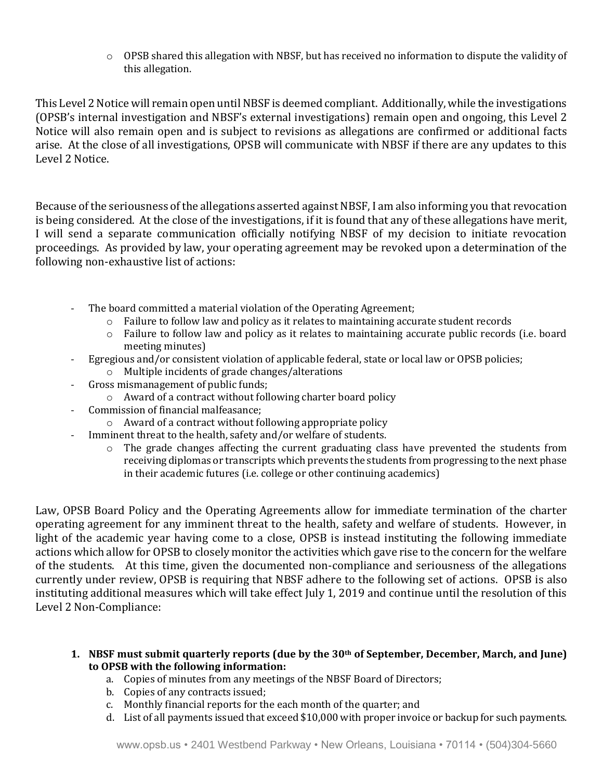$\circ$  OPSB shared this allegation with NBSF, but has received no information to dispute the validity of this allegation.

This Level 2 Notice will remain open until NBSF is deemed compliant. Additionally, while the investigations (OPSB's internal investigation and NBSF's external investigations) remain open and ongoing, this Level 2 Notice will also remain open and is subject to revisions as allegations are confirmed or additional facts arise. At the close of all investigations, OPSB will communicate with NBSF if there are any updates to this Level 2 Notice.

Because of the seriousness of the allegations asserted against NBSF, I am also informing you that revocation is being considered. At the close of the investigations, if it is found that any of these allegations have merit, I will send a separate communication officially notifying NBSF of my decision to initiate revocation proceedings. As provided by law, your operating agreement may be revoked upon a determination of the following non-exhaustive list of actions:

- The board committed a material violation of the Operating Agreement;
	- $\circ$  Failure to follow law and policy as it relates to maintaining accurate student records
	- o Failure to follow law and policy as it relates to maintaining accurate public records (i.e. board meeting minutes)
- Egregious and/or consistent violation of applicable federal, state or local law or OPSB policies;
	- o Multiple incidents of grade changes/alterations
- Gross mismanagement of public funds;
	- o Award of a contract without following charter board policy
- Commission of financial malfeasance;
	- o Award of a contract without following appropriate policy
	- Imminent threat to the health, safety and/or welfare of students.
		- o The grade changes affecting the current graduating class have prevented the students from receiving diplomas or transcripts which prevents the students from progressing to the next phase in their academic futures (i.e. college or other continuing academics)

Law, OPSB Board Policy and the Operating Agreements allow for immediate termination of the charter operating agreement for any imminent threat to the health, safety and welfare of students. However, in light of the academic year having come to a close, OPSB is instead instituting the following immediate actions which allow for OPSB to closely monitor the activities which gave rise to the concern for the welfare of the students. At this time, given the documented non-compliance and seriousness of the allegations currently under review, OPSB is requiring that NBSF adhere to the following set of actions. OPSB is also instituting additional measures which will take effect July 1, 2019 and continue until the resolution of this Level 2 Non-Compliance:

- **1. NBSF must submit quarterly reports (due by the 30th of September, December, March, and June) to OPSB with the following information:**
	- a. Copies of minutes from any meetings of the NBSF Board of Directors;
	- b. Copies of any contracts issued;
	- c. Monthly financial reports for the each month of the quarter; and
	- d. List of all payments issued that exceed \$10,000 with proper invoice or backup for such payments.